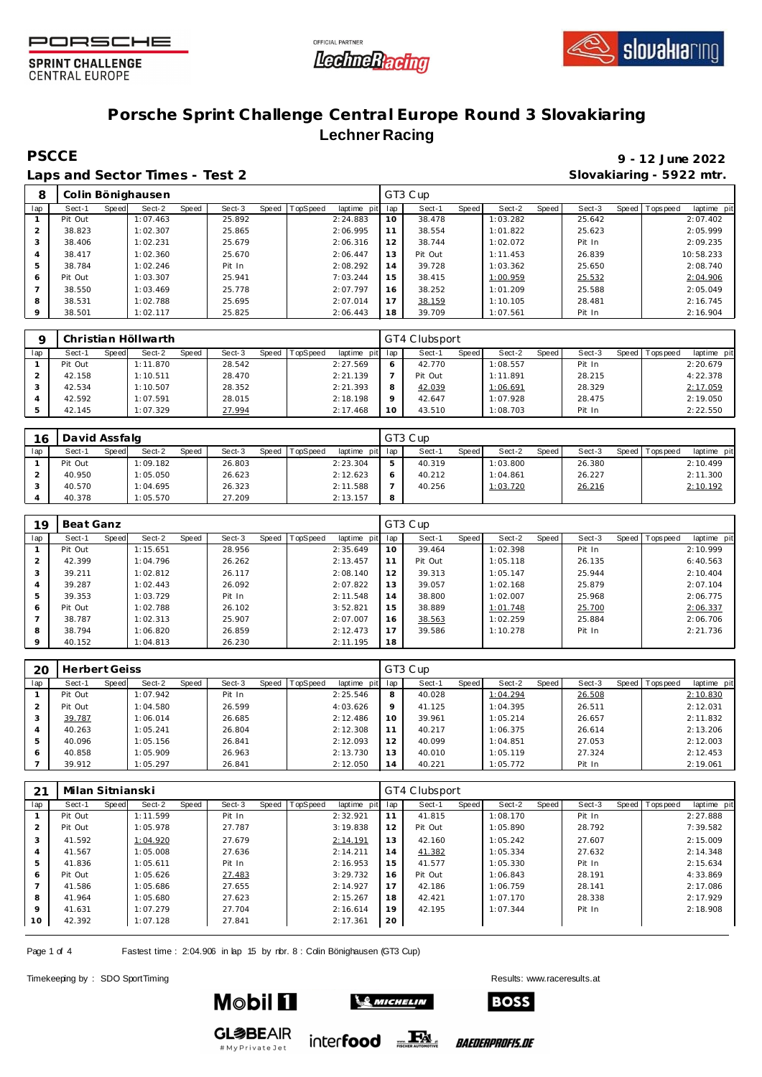





### **Porsche Sprint Challenge Central Europe Round 3 Slovakiaring Lechner Racing**

**Laps and Sector Times - Test 2 Slovakiaring - 5922 mtr.**

# **PSCCE 9 - 12 June 2022**

| 8       |         |       | Colin Bönighausen |       |        |       |          |             |     | GT3 Cup |       |          |         |        |                |             |
|---------|---------|-------|-------------------|-------|--------|-------|----------|-------------|-----|---------|-------|----------|---------|--------|----------------|-------------|
| lap     | Sect-1  | Speed | Sect-2            | Speed | Sect-3 | Speed | TopSpeed | laptime pit | lap | Sect-1  | Speed | Sect-2   | Speed ' | Sect-3 | Speed Topspeed | laptime pit |
|         | Pit Out |       | 1:07.463          |       | 25.892 |       |          | 2:24.883    | 10  | 38.478  |       | 1:03.282 |         | 25.642 |                | 2:07.402    |
|         | 38.823  |       | 1:02.307          |       | 25.865 |       |          | 2:06.995    | 11  | 38.554  |       | 1:01.822 |         | 25.623 |                | 2:05.999    |
| 3       | 38.406  |       | 1:02.231          |       | 25.679 |       |          | 2:06.316    | 12  | 38.744  |       | 1:02.072 |         | Pit In |                | 2:09.235    |
| 4       | 38.417  |       | 1:02.360          |       | 25.670 |       |          | 2:06.447    | 13  | Pit Out |       | 1:11.453 |         | 26.839 |                | 10:58.233   |
| 5       | 38.784  |       | 1:02.246          |       | Pit In |       |          | 2:08.292    | 14  | 39.728  |       | 1:03.362 |         | 25.650 |                | 2:08.740    |
| 6       | Pit Out |       | 1:03.307          |       | 25.941 |       |          | 7:03.244    | 15  | 38.415  |       | 1:00.959 |         | 25.532 |                | 2:04.906    |
|         | 38.550  |       | 1:03.469          |       | 25.778 |       |          | 2:07.797    | 16  | 38.252  |       | 1:01.209 |         | 25.588 |                | 2:05.049    |
| 8       | 38.531  |       | 1:02.788          |       | 25.695 |       |          | 2:07.014    | 17  | 38.159  |       | 1:10.105 |         | 28.481 |                | 2:16.745    |
| $\circ$ | 38.501  |       | 1:02.117          |       | 25.825 |       |          | 2:06.443    | 18  | 39.709  |       | 1:07.561 |         | Pit In |                | 2:16.904    |

| O   |         |       | Christian Höllwarth |       |        |       |          |                 |         | GT4 Clubsport |       |          |       |        |         |           |             |
|-----|---------|-------|---------------------|-------|--------|-------|----------|-----------------|---------|---------------|-------|----------|-------|--------|---------|-----------|-------------|
| lap | Sect-1  | Speed | Sect-2              | Speed | Sect-3 | Speed | TopSpeed | laptime pit lap |         | Sect-1        | Speed | Sect-2   | Speed | Sect-3 | Speed I | Tops peed | laptime pit |
|     | Pit Out |       | 1:11.870            |       | 28.542 |       |          | 2:27.569        | $\circ$ | 42.770        |       | 1:08.557 |       | Pit In |         |           | 2:20.679    |
|     | 42.158  |       | 1:10.511            |       | 28.470 |       |          | 2:21.139        |         | Pit Out       |       | 1:11.891 |       | 28.215 |         |           | 4:22.378    |
|     | 42.534  |       | 1:10.507            |       | 28.352 |       |          | 2:21.393        | 8       | 42.039        |       | 1:06.691 |       | 28.329 |         |           | 2:17.059    |
|     | 42.592  |       | 1:07.591            |       | 28.015 |       |          | 2:18.198        | $\circ$ | 42.647        |       | 1:07.928 |       | 28.475 |         |           | 2:19.050    |
|     | 42.145  |       | 1:07.329            |       | 27.994 |       |          | 2:17.468        | 10      | 43.510        |       | 1:08.703 |       | Pit In |         |           | 2:22.550    |

| 16  | David Assfalg |       |          |       |        |                |                 | GT3 Cup |       |          |       |        |                  |             |
|-----|---------------|-------|----------|-------|--------|----------------|-----------------|---------|-------|----------|-------|--------|------------------|-------------|
| lap | Sect-1        | Speed | Sect-2   | Speed | Sect-3 | Speed TopSpeed | laptime pit lap | Sect-1  | Speed | Sect-2   | Speed | Sect-3 | Speed   Topspeed | laptime pit |
|     | Pit Out       |       | 1:09.182 |       | 26.803 |                | 2:23.304        | 40.319  |       | 1:03.800 |       | 26.380 |                  | 2:10.499    |
|     | 40.950        |       | 1:05.050 |       | 26.623 |                | 2:12.623        | 40.212  |       | 1:04.861 |       | 26.227 |                  | 2:11.300    |
|     | 40.570        |       | 1:04.695 |       | 26.323 |                | 2:11.588        | 40.256  |       | 1:03.720 |       | 26.216 |                  | 2:10.192    |
|     | 40.378        |       | 1:05.570 |       | 27.209 |                | 2:13.157        |         |       |          |       |        |                  |             |

| 1 Q     | Beat Ganz |       |          |       |        |       |          |             |     | GT3 Cup |       |          |       |        |                |             |
|---------|-----------|-------|----------|-------|--------|-------|----------|-------------|-----|---------|-------|----------|-------|--------|----------------|-------------|
| lap     | Sect-1    | Speed | Sect-2   | Speed | Sect-3 | Speed | TopSpeed | laptime pit | lap | Sect-1  | Speed | Sect-2   | Speed | Sect-3 | Speed Topspeed | laptime pit |
|         | Pit Out   |       | 1:15.651 |       | 28.956 |       |          | 2:35.649    | 10  | 39.464  |       | 1:02.398 |       | Pit In |                | 2:10.999    |
|         | 42.399    |       | 1:04.796 |       | 26.262 |       |          | 2:13.457    | 11  | Pit Out |       | 1:05.118 |       | 26.135 |                | 6:40.563    |
| 3       | 39.211    |       | 1:02.812 |       | 26.117 |       |          | 2:08.140    | 12  | 39.313  |       | 1:05.147 |       | 25.944 |                | 2:10.404    |
| 4       | 39.287    |       | 1:02.443 |       | 26.092 |       |          | 2:07.822    | 13  | 39.057  |       | 1:02.168 |       | 25.879 |                | 2:07.104    |
| 5       | 39.353    |       | 1:03.729 |       | Pit In |       |          | 2:11.548    | 14  | 38,800  |       | 1:02.007 |       | 25.968 |                | 2:06.775    |
| 6       | Pit Out   |       | 1:02.788 |       | 26.102 |       |          | 3:52.821    | 15  | 38.889  |       | 1:01.748 |       | 25.700 |                | 2:06.337    |
|         | 38.787    |       | 1:02.313 |       | 25.907 |       |          | 2:07.007    | 16  | 38.563  |       | 1:02.259 |       | 25.884 |                | 2:06.706    |
| 8       | 38.794    |       | 1:06.820 |       | 26.859 |       |          | 2:12.473    | 17  | 39.586  |       | 1:10.278 |       | Pit In |                | 2:21.736    |
| $\circ$ | 40.152    |       | 1:04.813 |       | 26.230 |       |          | 2:11.195    | 18  |         |       |          |       |        |                |             |

| 20             | <b>Herbert Geiss</b> |       |          |       |        |       |                 |             |         | GT3 Cup |       |          |       |        |                |             |
|----------------|----------------------|-------|----------|-------|--------|-------|-----------------|-------------|---------|---------|-------|----------|-------|--------|----------------|-------------|
| lap            | Sect-1               | Speed | Sect-2   | Speed | Sect-3 | Speed | <b>TopSpeed</b> | laptime pit | lap     | Sect-1  | Speed | Sect-2   | Speed | Sect-3 | Speed Topspeed | laptime pit |
|                | Pit Out              |       | 1:07.942 |       | Pit In |       |                 | 2:25.546    | 8       | 40.028  |       | 1:04.294 |       | 26.508 |                | 2:10.830    |
|                | Pit Out              |       | 1:04.580 |       | 26.599 |       |                 | 4:03.626    | $\circ$ | 41.125  |       | 1:04.395 |       | 26.511 |                | 2:12.031    |
|                | 39.787               |       | 1:06.014 |       | 26.685 |       |                 | 2:12.486    | 10      | 39.961  |       | 1:05.214 |       | 26.657 |                | 2:11.832    |
| $\overline{4}$ | 40.263               |       | 1:05.241 |       | 26.804 |       |                 | 2:12.308    |         | 40.217  |       | 1:06.375 |       | 26.614 |                | 2:13.206    |
| 5              | 40.096               |       | 1:05.156 |       | 26.841 |       |                 | 2:12.093    | 12      | 40.099  |       | 1:04.851 |       | 27.053 |                | 2:12.003    |
| 6              | 40.858               |       | 1:05.909 |       | 26.963 |       |                 | 2:13.730    | 13      | 40.010  |       | 1:05.119 |       | 27.324 |                | 2:12.453    |
|                | 39.912               |       | 1:05.297 |       | 26.841 |       |                 | 2:12.050    | 14      | 40.221  |       | 1:05.772 |       | Pit In |                | 2:19.061    |

| 21  | Milan Sitnianski |       |          |       |        |       |          |             |     | GT4 Clubsport |       |          |       |        |                 |             |
|-----|------------------|-------|----------|-------|--------|-------|----------|-------------|-----|---------------|-------|----------|-------|--------|-----------------|-------------|
| lap | Sect-1           | Speed | Sect-2   | Speed | Sect-3 | Speed | TopSpeed | laptime pit | lap | Sect-1        | Speed | Sect-2   | Speed | Sect-3 | Speed Tops peed | laptime pit |
|     | Pit Out          |       | 1:11.599 |       | Pit In |       |          | 2:32.921    | 11  | 41.815        |       | 1:08.170 |       | Pit In |                 | 2:27.888    |
|     | Pit Out          |       | 1:05.978 |       | 27.787 |       |          | 3:19.838    | 12  | Pit Out       |       | 1:05.890 |       | 28.792 |                 | 7:39.582    |
| 3   | 41.592           |       | 1:04.920 |       | 27.679 |       |          | 2:14.191    | 13  | 42.160        |       | 1:05.242 |       | 27.607 |                 | 2:15.009    |
| 4   | 41.567           |       | 1:05.008 |       | 27.636 |       |          | 2:14.211    | 14  | 41.382        |       | 1:05.334 |       | 27.632 |                 | 2:14.348    |
| 5   | 41.836           |       | 1:05.611 |       | Pit In |       |          | 2:16.953    | 15  | 41.577        |       | 1:05.330 |       | Pit In |                 | 2:15.634    |
| 6   | Pit Out          |       | 1:05.626 |       | 27.483 |       |          | 3:29.732    | 16  | Pit Out       |       | 1:06.843 |       | 28.191 |                 | 4:33.869    |
|     | 41.586           |       | 1:05.686 |       | 27.655 |       |          | 2:14.927    | 17  | 42.186        |       | 1:06.759 |       | 28.141 |                 | 2:17.086    |
| 8   | 41.964           |       | 1:05.680 |       | 27.623 |       |          | 2:15.267    | 18  | 42.421        |       | 1:07.170 |       | 28.338 |                 | 2:17.929    |
| 9   | 41.631           |       | 1:07.279 |       | 27.704 |       |          | 2:16.614    | 19  | 42.195        |       | 1:07.344 |       | Pit In |                 | 2:18.908    |
| 10  | 42.392           |       | 1:07.128 |       | 27.841 |       |          | 2:17.361    | 20  |               |       |          |       |        |                 |             |

Page 1 of 4 Fastest time : 2:04.906 in lap 15 by nbr. 8 : Colin Bönighausen (GT3 Cup)

Timekeeping by : SDO SportTiming Results: [www.raceresults.a](www.raceresults.at)t







inter**food** FALL

```
BAEDERPROFIS.DE
```
**BOSS**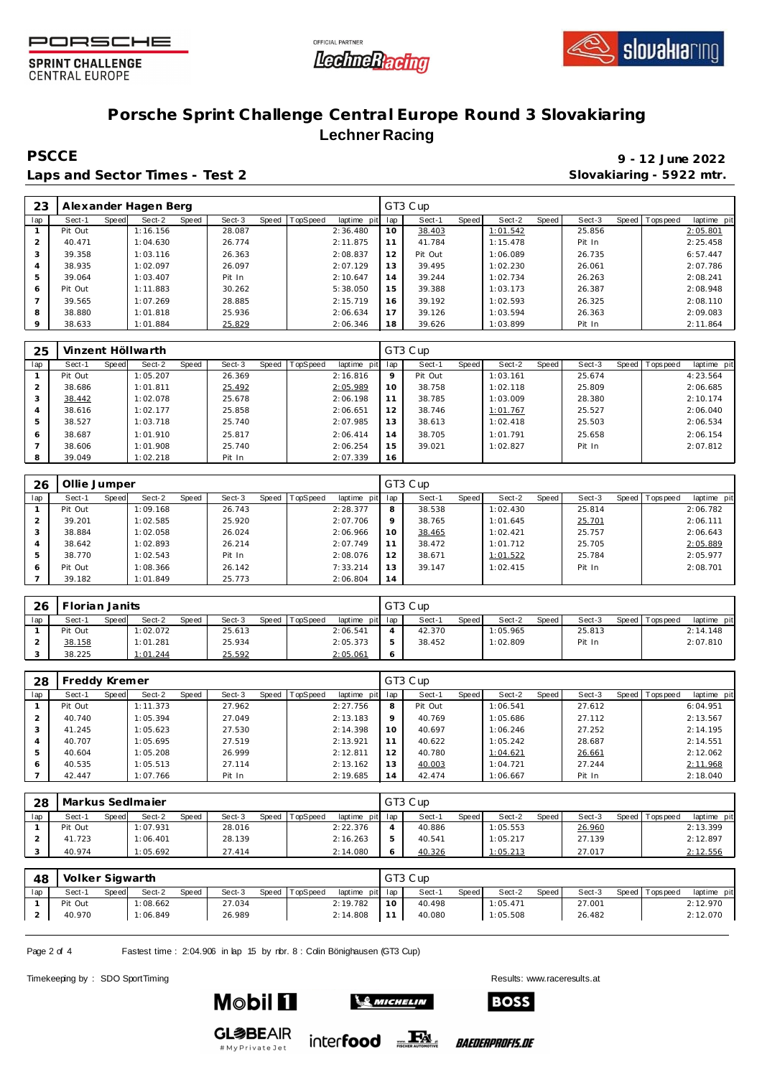





#### **Porsche Sprint Challenge Central Europe Round 3 Slovakiaring Lechner Racing**

**Laps and Sector Times - Test 2 Slovakiaring - 5922 mtr.**

**PSCCE 9 - 12 June 2022**

| 23            |         |       | Alexander Hagen Berg |       |        |       |          |             |     | GT3 Cup |       |          |       |        |                   |             |
|---------------|---------|-------|----------------------|-------|--------|-------|----------|-------------|-----|---------|-------|----------|-------|--------|-------------------|-------------|
| lap           | Sect-1  | Speed | Sect-2               | Speed | Sect-3 | Speed | TopSpeed | laptime pit | lap | Sect-1  | Speed | Sect-2   | Speed | Sect-3 | Speed   Tops peed | laptime pit |
|               | Pit Out |       | 1:16.156             |       | 28.087 |       |          | 2:36.480    | 10  | 38.403  |       | 1:01.542 |       | 25.856 |                   | 2:05.801    |
| $\mathcal{P}$ | 40.471  |       | 1:04.630             |       | 26.774 |       |          | 2:11.875    | 11  | 41.784  |       | 1:15.478 |       | Pit In |                   | 2:25.458    |
| 3             | 39.358  |       | 1:03.116             |       | 26.363 |       |          | 2:08.837    | 12  | Pit Out |       | 1:06.089 |       | 26.735 |                   | 6:57.447    |
| 4             | 38.935  |       | 1:02.097             |       | 26.097 |       |          | 2:07.129    | 13  | 39.495  |       | 1:02.230 |       | 26.061 |                   | 2:07.786    |
| 5             | 39.064  |       | 1:03.407             |       | Pit In |       |          | 2:10.647    | 14  | 39.244  |       | 1:02.734 |       | 26.263 |                   | 2:08.241    |
| 6             | Pit Out |       | 1:11.883             |       | 30.262 |       |          | 5:38.050    | 15  | 39.388  |       | 1:03.173 |       | 26.387 |                   | 2:08.948    |
|               | 39.565  |       | 1:07.269             |       | 28.885 |       |          | 2:15.719    | 16  | 39.192  |       | 1:02.593 |       | 26.325 |                   | 2:08.110    |
| 8             | 38.880  |       | 1:01.818             |       | 25.936 |       |          | 2:06.634    | 17  | 39.126  |       | 1:03.594 |       | 26.363 |                   | 2:09.083    |
| $\circ$       | 38.633  |       | 1:01.884             |       | 25.829 |       |          | 2:06.346    | 18  | 39.626  |       | 1:03.899 |       | Pit In |                   | 2:11.864    |

| 25  |         |       | Vinzent Höllwarth |       |        |       |          |             |     | GT3 Cup |       |          |       |        |         |           |             |
|-----|---------|-------|-------------------|-------|--------|-------|----------|-------------|-----|---------|-------|----------|-------|--------|---------|-----------|-------------|
| lap | Sect-1  | Speed | Sect-2            | Speed | Sect-3 | Speed | TopSpeed | laptime pit | lap | Sect-1  | Speed | Sect-2   | Speed | Sect-3 | Speed I | Tops peed | laptime pit |
|     | Pit Out |       | 1:05.207          |       | 26.369 |       |          | 2:16.816    | 9   | Pit Out |       | 1:03.161 |       | 25.674 |         |           | 4:23.564    |
|     | 38.686  |       | 1:01.811          |       | 25.492 |       |          | 2:05.989    | 10  | 38.758  |       | 1:02.118 |       | 25.809 |         |           | 2:06.685    |
|     | 38.442  |       | 1:02.078          |       | 25.678 |       |          | 2:06.198    | 11  | 38.785  |       | 1:03.009 |       | 28.380 |         |           | 2:10.174    |
|     | 38.616  |       | 1:02.177          |       | 25.858 |       |          | 2:06.651    | 12  | 38.746  |       | 1:01.767 |       | 25.527 |         |           | 2:06.040    |
|     | 38.527  |       | 1:03.718          |       | 25.740 |       |          | 2:07.985    | 13  | 38.613  |       | 1:02.418 |       | 25.503 |         |           | 2:06.534    |
| 6   | 38.687  |       | 1:01.910          |       | 25.817 |       |          | 2:06.414    | 14  | 38.705  |       | 1:01.791 |       | 25.658 |         |           | 2:06.154    |
|     | 38.606  |       | 1:01.908          |       | 25.740 |       |          | 2:06.254    | 15  | 39.021  |       | 1:02.827 |       | Pit In |         |           | 2:07.812    |
| 8   | 39.049  |       | 1:02.218          |       | Pit In |       |          | 2:07.339    | 16  |         |       |          |       |        |         |           |             |

| 26  | Ollie Jumper |       |          |       |        |       |                 |             |     | GT3 Cup |       |          |       |        |                |             |
|-----|--------------|-------|----------|-------|--------|-------|-----------------|-------------|-----|---------|-------|----------|-------|--------|----------------|-------------|
| lap | Sect-1       | Speed | Sect-2   | Speed | Sect-3 | Speed | <b>TopSpeed</b> | laptime pit | lap | Sect-1  | Speed | Sect-2   | Speed | Sect-3 | Speed Topspeed | laptime pit |
|     | Pit Out      |       | 1:09.168 |       | 26.743 |       |                 | 2:28.377    | 8   | 38.538  |       | 1:02.430 |       | 25.814 |                | 2:06.782    |
|     | 39.201       |       | 1:02.585 |       | 25.920 |       |                 | 2:07.706    | 9   | 38.765  |       | 1:01.645 |       | 25.701 |                | 2:06.111    |
|     | 38.884       |       | 1:02.058 |       | 26.024 |       |                 | 2:06.966    | 10  | 38.465  |       | 1:02.421 |       | 25.757 |                | 2:06.643    |
|     | 38.642       |       | 1:02.893 |       | 26.214 |       |                 | 2:07.749    |     | 38.472  |       | 1:01.712 |       | 25.705 |                | 2:05.889    |
|     | 38.770       |       | 1:02.543 |       | Pit In |       |                 | 2:08.076    | 12  | 38.671  |       | 1:01.522 |       | 25.784 |                | 2:05.977    |
| 6   | Pit Out      |       | 1:08.366 |       | 26.142 |       |                 | 7:33.214    | 13  | 39.147  |       | 1:02.415 |       | Pit In |                | 2:08.701    |
|     | 39.182       |       | 1:01.849 |       | 25.773 |       |                 | 2:06.804    | 14  |         |       |          |       |        |                |             |

| 26  | Florian Janits |       |          |              |        |       |                 |                 | GT3 Cup |       |          |       |        |              |            |             |
|-----|----------------|-------|----------|--------------|--------|-------|-----------------|-----------------|---------|-------|----------|-------|--------|--------------|------------|-------------|
| lap | Sect-1         | Speed | Sect-2   | <b>Speed</b> | Sect-3 | Speed | <b>TopSpeed</b> | laptime pit lap | Sect-1  | Speed | Sect-2   | Speed | Sect-3 | <b>Speed</b> | Tops pee d | laptime pit |
|     | Pit Out        |       | 1:02.072 |              | 25.613 |       |                 | 2:06.541        | 42.370  |       | 1:05.965 |       | 25.813 |              |            | 2:14.148    |
|     | 38.158         |       | 1:01.281 |              | 25.934 |       |                 | 2:05.373        | 38.452  |       | 1:02.809 |       | Pit In |              |            | 2:07.810    |
|     | 38.225         |       | 1:01.244 |              | 25.592 |       |                 | 2:05.061        |         |       |          |       |        |              |            |             |

| 28  |         | reddy Kremer |          |       |        |       |          |                |         | GT3 Cup |              |          |       |        |                 |             |
|-----|---------|--------------|----------|-------|--------|-------|----------|----------------|---------|---------|--------------|----------|-------|--------|-----------------|-------------|
| lap | Sect-1  | Speed        | Sect-2   | Speed | Sect-3 | Speed | TopSpeed | laptime<br>pit | lap     | Sect-1  | <b>Speed</b> | Sect-2   | Speed | Sect-3 | Speed Tops peed | laptime pit |
|     | Pit Out |              | 1:11.373 |       | 27.962 |       |          | 2:27.756       | 8       | Pit Out |              | 1:06.541 |       | 27.612 |                 | 6:04.951    |
|     | 40.740  |              | 1:05.394 |       | 27.049 |       |          | 2:13.183       | $\circ$ | 40.769  |              | 1:05.686 |       | 27.112 |                 | 2:13.567    |
|     | 41.245  |              | 1:05.623 |       | 27.530 |       |          | 2:14.398       | 10      | 40.697  |              | 1:06.246 |       | 27.252 |                 | 2:14.195    |
| 4   | 40.707  |              | 1:05.695 |       | 27.519 |       |          | 2:13.921       |         | 40.622  |              | 1:05.242 |       | 28.687 |                 | 2:14.551    |
| .5  | 40.604  |              | 1:05.208 |       | 26.999 |       |          | 2:12.811       | 12      | 40.780  |              | 1:04.621 |       | 26.661 |                 | 2:12.062    |
|     | 40.535  |              | 1:05.513 |       | 27.114 |       |          | 2:13.162       | 13      | 40.003  |              | 1:04.721 |       | 27.244 |                 | 2:11.968    |
|     | 42.447  |              | 1:07.766 |       | Pit In |       |          | 2:19.685       | 14      | 42.474  |              | 1:06.667 |       | Pit In |                 | 2:18.040    |

|     | 28 |                |              | Markus SedImajer |       |        |       |            |                 |                | GT3 Cup |              |                  |       |        |                   |             |
|-----|----|----------------|--------------|------------------|-------|--------|-------|------------|-----------------|----------------|---------|--------------|------------------|-------|--------|-------------------|-------------|
| lap |    | Sect-1         | <b>Speed</b> | Sect-2           | Speed | Sect-3 | Speed | IT opSpeed | laptime pit lap |                | Sect-1  | <b>Speed</b> | Sect-2           | Speed | Sect-3 | Speed   Tops peed | laptime pit |
|     |    | Pit Out        |              | 1:07.931         |       | 28.016 |       |            | 2:22.376        | $\overline{ }$ | 40.886  |              | 1:05.553         |       | 26.960 |                   | 2:13.399    |
|     |    | $-1.723$<br>41 |              | 1:06.401         |       | 28.139 |       |            | 2:16.263        |                | 40.541  |              | 1:05.217         |       | 27.139 |                   | 2:12.897    |
|     |    | 40.974         |              | 1:05.692         |       | 27.414 |       |            | 2:14.080        | 6              | 40.326  |              | <u>l: 05.213</u> |       | 27.017 |                   | 2:12.556    |

| 48  | Volker Sigwarth |       |          |       |        |       |          |                 |    | GT3 Cup |       |          |       |        |       |            |             |
|-----|-----------------|-------|----------|-------|--------|-------|----------|-----------------|----|---------|-------|----------|-------|--------|-------|------------|-------------|
| lap | Sect-1          | Speed | Sect-2   | Speed | Sect-3 | Speed | TopSpeed | laptime pit lap |    | Sect-1  | Speed | Sect-2   | Speed | Sect-3 | Speed | Tops pee d | laptime pit |
|     | Pit Out         |       | 1:08.662 |       | 27.034 |       |          | 2:19.782        | 10 | 40.498  |       | 1:05.471 |       | 27.001 |       |            | 2:12.970    |
|     | 40.970          |       | 1:06.849 |       | 26.989 |       |          | 2:14.808        | A  | 40.080  |       | 1:05.508 |       | 26.482 |       |            | 2:12.070    |

Page 2 of 4 Fastest time : 2:04.906 in lap 15 by nbr. 8 : Colin Bönighausen (GT3 Cup)

**Mobil 11** 

**GL参BEAIR** 

#MyPrivateJet

Timekeeping by : SDO SportTiming Results: [www.raceresults.a](www.raceresults.at)t

**SO MICHELIN** 

inter**food** FALL



*BAEDERPROFIS.DE*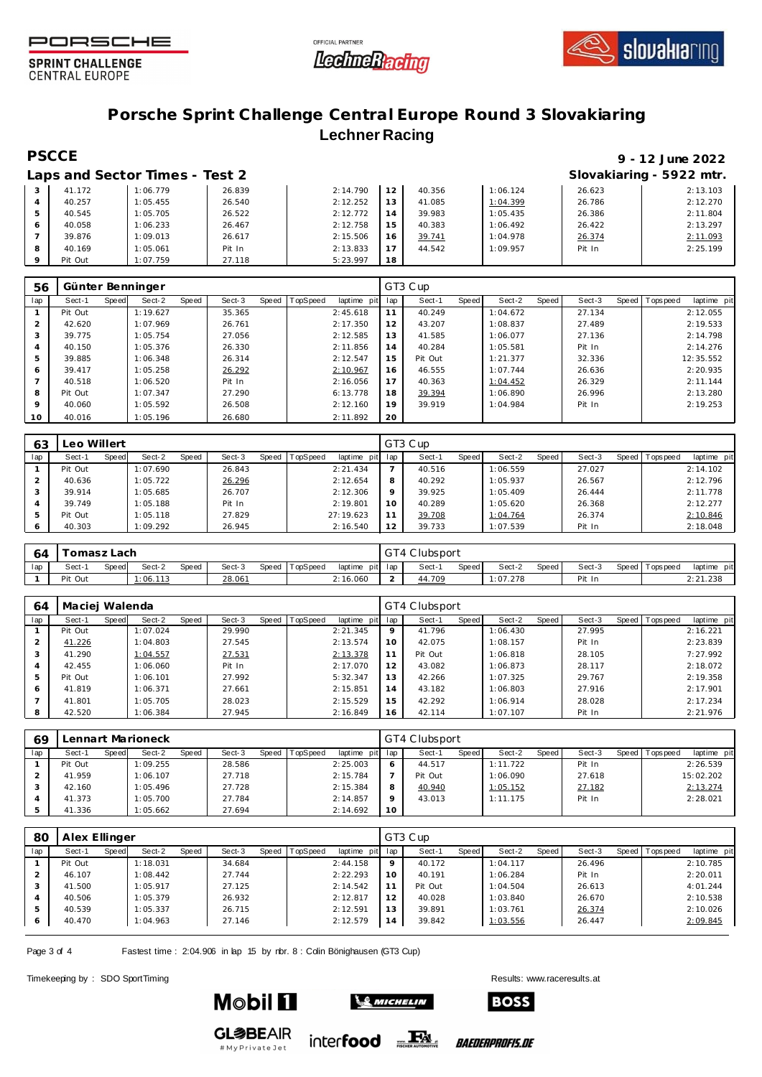





### **Porsche Sprint Challenge Central Europe Round 3 Slovakiaring Lechner Racing**

## **PSCCE 9 - 12 June 2022**

|   |         | Laps and Sector Times - Test 2 |        |          |                 |        |          |        | Slovakiaring - 5922 mtr. |
|---|---------|--------------------------------|--------|----------|-----------------|--------|----------|--------|--------------------------|
|   | 41.172  | 1:06.779                       | 26.839 | 2:14.790 | 12 <sub>1</sub> | 40.356 | 1:06.124 | 26.623 | 2:13.103                 |
|   | 40.257  | 1:05.455                       | 26.540 | 2:12.252 | 13 <sub>1</sub> | 41.085 | 1:04.399 | 26.786 | 2:12.270                 |
|   | 40.545  | 1:05.705                       | 26.522 | 2:12.772 | 14              | 39.983 | 1:05.435 | 26.386 | 2:11.804                 |
| 6 | 40.058  | 1:06.233                       | 26.467 | 2:12.758 | 15              | 40.383 | 1:06.492 | 26.422 | 2:13.297                 |
|   | 39.876  | 1:09.013                       | 26.617 | 2:15.506 | 16              | 39.741 | 1:04.978 | 26.374 | 2:11.093                 |
| 8 | 40.169  | 1:05.061                       | Pit In | 2:13.833 | 17              | 44.542 | 1:09.957 | Pit In | 2:25.199                 |
|   | Pit Out | 1:07.759                       | 27.118 | 5:23.997 | 18              |        |          |        |                          |

| 56             |         |              | Günter Benninger |       |        |         |                 |             |     | GT3 Cup |       |          |       |        |                |             |
|----------------|---------|--------------|------------------|-------|--------|---------|-----------------|-------------|-----|---------|-------|----------|-------|--------|----------------|-------------|
| lap            | Sect-1  | <b>Speed</b> | Sect-2           | Speed | Sect-3 | Speed T | <b>TopSpeed</b> | laptime pit | lap | Sect-1  | Speed | Sect-2   | Speed | Sect-3 | Speed Topspeed | laptime pit |
|                | Pit Out |              | 1:19.627         |       | 35.365 |         |                 | 2:45.618    | 11  | 40.249  |       | 1:04.672 |       | 27.134 |                | 2:12.055    |
| $\overline{2}$ | 42.620  |              | 1:07.969         |       | 26.761 |         |                 | 2:17.350    | 12  | 43.207  |       | 1:08.837 |       | 27.489 |                | 2:19.533    |
| 3              | 39.775  |              | 1:05.754         |       | 27.056 |         |                 | 2:12.585    | 13  | 41.585  |       | 1:06.077 |       | 27.136 |                | 2:14.798    |
| 4              | 40.150  |              | 1:05.376         |       | 26.330 |         |                 | 2:11.856    | 14  | 40.284  |       | 1:05.581 |       | Pit In |                | 2:14.276    |
| 5              | 39.885  |              | 1:06.348         |       | 26.314 |         |                 | 2:12.547    | 15  | Pit Out |       | 1:21.377 |       | 32.336 |                | 12:35.552   |
| 6              | 39.417  |              | 1:05.258         |       | 26.292 |         |                 | 2:10.967    | 16  | 46.555  |       | 1:07.744 |       | 26.636 |                | 2:20.935    |
|                | 40.518  |              | 1:06.520         |       | Pit In |         |                 | 2:16.056    | 17  | 40.363  |       | 1:04.452 |       | 26.329 |                | 2:11.144    |
| 8              | Pit Out |              | 1:07.347         |       | 27.290 |         |                 | 6:13.778    | 18  | 39.394  |       | 1:06.890 |       | 26.996 |                | 2:13.280    |
| 9              | 40.060  |              | 1:05.592         |       | 26.508 |         |                 | 2:12.160    | 19  | 39.919  |       | 1:04.984 |       | Pit In |                | 2:19.253    |
| 10             | 40.016  |              | 1:05.196         |       | 26.680 |         |                 | 2:11.892    | 20  |         |       |          |       |        |                |             |

| 63  | ∟eo Willert |       |          |       |        |       | GT3 Cup  |                 |              |        |       |          |       |        |       |                  |             |
|-----|-------------|-------|----------|-------|--------|-------|----------|-----------------|--------------|--------|-------|----------|-------|--------|-------|------------------|-------------|
| lap | Sect-1      | Speed | Sect-2   | Speed | Sect-3 | Speed | TopSpeed | laptime<br>pitl | lap          | Sect-1 | Speed | Sect-2   | Speed | Sect-3 | Speed | <b>Tops peed</b> | laptime pit |
|     | Pit Out     |       | 1:07.690 |       | 26.843 |       |          | 2: 21.434       |              | 40.516 |       | 1:06.559 |       | 27.027 |       |                  | 2:14.102    |
|     | 40.636      |       | 1:05.722 |       | 26.296 |       |          | 2:12.654        | $\circ$<br>O | 40.292 |       | 1:05.937 |       | 26.567 |       |                  | 2:12.796    |
|     | 39.914      |       | 1:05.685 |       | 26.707 |       |          | 2:12.306        | $\Omega$     | 39.925 |       | 1:05.409 |       | 26.444 |       |                  | 2:11.778    |
|     | 39.749      |       | 1:05.188 |       | Pit In |       |          | 2:19.801        | 10           | 40.289 |       | 1:05.620 |       | 26.368 |       |                  | 2:12.277    |
| 5   | Pit Out     |       | 1:05.118 |       | 27.829 |       |          | 27:19.623       |              | 39.708 |       | 1:04.764 |       | 26.374 |       |                  | 2:10.846    |
|     | 40.303      |       | 1:09.292 |       | 26.945 |       |          | 2:16.540        | 12           | 39.733 |       | 1:07.539 |       | Pit In |       |                  | 2:18.048    |

| 64  | Lach<br>omasz<br>. ت |       |          |       |        |       |          |          |             | GT4 Clubsport |       |         |       |        |                   |             |
|-----|----------------------|-------|----------|-------|--------|-------|----------|----------|-------------|---------------|-------|---------|-------|--------|-------------------|-------------|
| lap | Sect-                | Speed | Sect-2   | Speed | Sect-3 | Speed | TopSpeed | laptime  | pit lap     | Sect-         | Speed | Sect-2  | Speed | Sect-3 | Speed   Tops peed | laptime pit |
|     | Pit Out              |       | 1:06.113 |       | 28.061 |       |          | 2:16.060 | $\sim$<br>- | 44.709        |       | :07.278 |       | Pit In |                   | 2:21.238    |

| 64  | Maciej Walenda |       |          |       |        |       |          |                 |         | GT4 Clubsport |         |          |         |        |                   |             |
|-----|----------------|-------|----------|-------|--------|-------|----------|-----------------|---------|---------------|---------|----------|---------|--------|-------------------|-------------|
| lap | Sect-1         | Speed | Sect-2   | Speed | Sect-3 | Speed | TopSpeed | laptime pit lap |         | Sect-1        | Speed ! | Sect-2   | Speed I | Sect-3 | Speed   Tops peed | laptime pit |
|     | Pit Out        |       | 1:07.024 |       | 29.990 |       |          | 2:21.345        | $\circ$ | 41.796        |         | 1:06.430 |         | 27.995 |                   | 2:16.221    |
|     | 41.226         |       | 1:04.803 |       | 27.545 |       |          | 2:13.574        | 10      | 42.075        |         | 1:08.157 |         | Pit In |                   | 2:23.839    |
|     | 41.290         |       | 1:04.557 |       | 27.531 |       |          | 2:13.378        | 11      | Pit Out       |         | 1:06.818 |         | 28.105 |                   | 7:27.992    |
|     | 42.455         |       | 1:06.060 |       | Pit In |       |          | 2:17.070        | 12      | 43.082        |         | 1:06.873 |         | 28.117 |                   | 2:18.072    |
|     | Pit Out        |       | 1:06.101 |       | 27.992 |       |          | 5:32.347        | 13      | 42.266        |         | 1:07.325 |         | 29.767 |                   | 2:19.358    |
| 6   | 41.819         |       | 1:06.371 |       | 27.661 |       |          | 2:15.851        | 14      | 43.182        |         | 1:06.803 |         | 27.916 |                   | 2:17.901    |
|     | 41.801         |       | 1:05.705 |       | 28.023 |       |          | 2:15.529        | 15      | 42.292        |         | 1:06.914 |         | 28.028 |                   | 2:17.234    |
| 8   | 42.520         |       | 1:06.384 |       | 27.945 |       |          | 2:16.849        | 16      | 42.114        |         | 1:07.107 |         | Pit In |                   | 2:21.976    |

| 69  |         | ennart Marioneck. |          |       |        |       | GT4 Clubsport |             |         |         |       |          |       |        |         |           |             |
|-----|---------|-------------------|----------|-------|--------|-------|---------------|-------------|---------|---------|-------|----------|-------|--------|---------|-----------|-------------|
| lap | Sect-1  | Speed             | Sect-2   | Speed | Sect-3 | Speed | TopSpeed      | laptime pit | lap     | Sect-1  | Speed | Sect-2   | Speed | Sect-3 | Speed I | Tops peed | laptime pit |
|     | Pit Out |                   | 1:09.255 |       | 28.586 |       |               | 2:25.003    | 6       | 44.517  |       | 1:11.722 |       | Pit In |         |           | 2:26.539    |
|     | 41.959  |                   | 1:06.107 |       | 27.718 |       |               | 2:15.784    |         | Pit Out |       | 1:06.090 |       | 27.618 |         |           | 15:02.202   |
|     | 42.160  |                   | 1:05.496 |       | 27.728 |       |               | 2:15.384    | 8       | 40.940  |       | 1:05.152 |       | 27.182 |         |           | 2:13.274    |
|     | 41.373  |                   | 1:05.700 |       | 27.784 |       |               | 2:14.857    | $\circ$ | 43.013  |       | 1:11.175 |       | Pit In |         |           | 2:28.021    |
|     | 41.336  |                   | 1:05.662 |       | 27.694 |       |               | 2:14.692    | 10      |         |       |          |       |        |         |           |             |

| 80  | Alex Ellinger |       |          |       |        |                |             |         | GT3 Cup |       |          |       |        |       |            |             |
|-----|---------------|-------|----------|-------|--------|----------------|-------------|---------|---------|-------|----------|-------|--------|-------|------------|-------------|
| lap | Sect-1        | Speed | Sect-2   | Speed | Sect-3 | Speed TopSpeed | laptime pit | lap     | Sect-1  | Speed | Sect-2   | Speed | Sect-3 | Speed | T ops peed | laptime pit |
|     | Pit Out       |       | 1:18.031 |       | 34.684 |                | 2:44.158    | $\circ$ | 40.172  |       | 1:04.117 |       | 26.496 |       |            | 2:10.785    |
|     | 46.107        |       | 1:08.442 |       | 27.744 |                | 2:22.293    | 10      | 40.191  |       | 1:06.284 |       | Pit In |       |            | 2:20.011    |
| 3   | 41.500        |       | 1:05.917 |       | 27.125 |                | 2:14.542    |         | Pit Out |       | 1:04.504 |       | 26.613 |       |            | 4:01.244    |
| 4   | 40.506        |       | 1:05.379 |       | 26.932 |                | 2:12.817    | 12      | 40.028  |       | 1:03.840 |       | 26.670 |       |            | 2:10.538    |
| ь   | 40.539        |       | 1:05.337 |       | 26.715 |                | 2:12.591    | 13      | 39.891  |       | 1:03.761 |       | 26.374 |       |            | 2:10.026    |
| 6   | 40.470        |       | 1:04.963 |       | 27.146 |                | 2:12.579    | 14      | 39.842  |       | 1:03.556 |       | 26.447 |       |            | 2:09.845    |

Page 3 of 4 Fastest time : 2:04.906 in lap 15 by nbr. 8 : Colin Bönighausen (GT3 Cup)

Timekeeping by : SDO SportTiming Results: [www.raceresults.a](www.raceresults.at)t

**Mobil 1** 

**GL参BEAIR** 

# My Private Jet



inter**food** EX

*BAEDERPROFIS.DE* 

**BOSS**